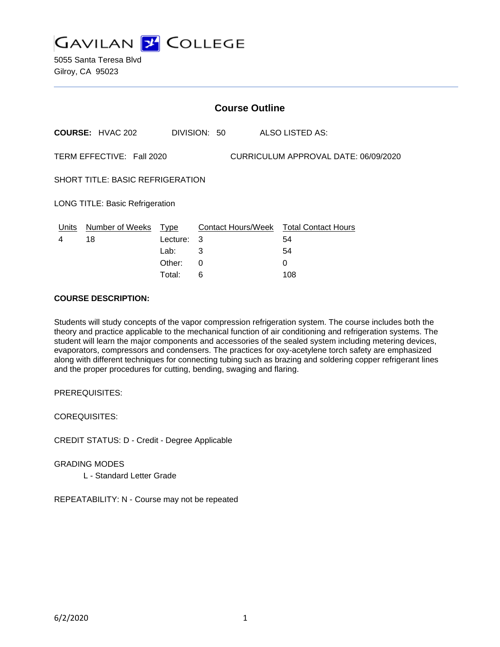

5055 Santa Teresa Blvd Gilroy, CA 95023

|                                                                   |                         |             | <b>Course Outline</b> |                                        |
|-------------------------------------------------------------------|-------------------------|-------------|-----------------------|----------------------------------------|
|                                                                   | <b>COURSE: HVAC 202</b> |             | DIVISION: 50          | ALSO LISTED AS:                        |
| CURRICULUM APPROVAL DATE: 06/09/2020<br>TERM EFFECTIVE: Fall 2020 |                         |             |                       |                                        |
| <b>SHORT TITLE: BASIC REFRIGERATION</b>                           |                         |             |                       |                                        |
| <b>LONG TITLE: Basic Refrigeration</b>                            |                         |             |                       |                                        |
| Units                                                             | Number of Weeks         | <b>Type</b> |                       | Contact Hours/Week Total Contact Hours |
| 4                                                                 | 18                      | Lecture:    | 3                     | 54                                     |
|                                                                   |                         | Lab:        | 3                     | 54                                     |
|                                                                   |                         | Other:      | $\Omega$              | $\Omega$                               |
|                                                                   |                         | Total:      | 6                     | 108                                    |

#### **COURSE DESCRIPTION:**

Students will study concepts of the vapor compression refrigeration system. The course includes both the theory and practice applicable to the mechanical function of air conditioning and refrigeration systems. The student will learn the major components and accessories of the sealed system including metering devices, evaporators, compressors and condensers. The practices for oxy-acetylene torch safety are emphasized along with different techniques for connecting tubing such as brazing and soldering copper refrigerant lines and the proper procedures for cutting, bending, swaging and flaring.

PREREQUISITES:

COREQUISITES:

CREDIT STATUS: D - Credit - Degree Applicable

GRADING MODES

L - Standard Letter Grade

REPEATABILITY: N - Course may not be repeated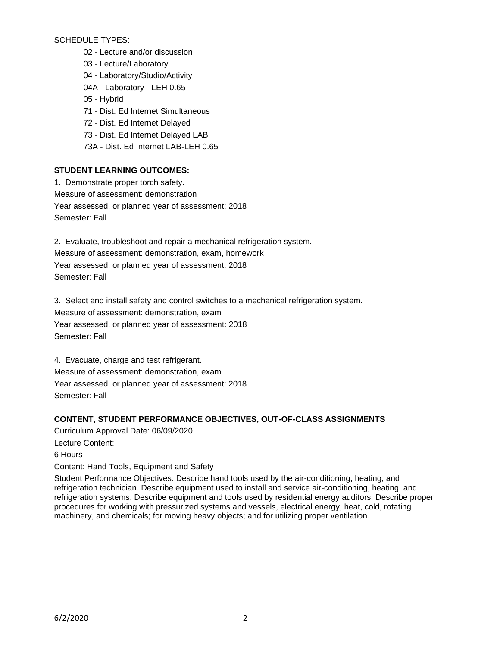SCHEDULE TYPES:

- 02 Lecture and/or discussion
- 03 Lecture/Laboratory
- 04 Laboratory/Studio/Activity
- 04A Laboratory LEH 0.65
- 05 Hybrid
- 71 Dist. Ed Internet Simultaneous
- 72 Dist. Ed Internet Delayed
- 73 Dist. Ed Internet Delayed LAB
- 73A Dist. Ed Internet LAB-LEH 0.65

# **STUDENT LEARNING OUTCOMES:**

1. Demonstrate proper torch safety. Measure of assessment: demonstration Year assessed, or planned year of assessment: 2018 Semester: Fall

2. Evaluate, troubleshoot and repair a mechanical refrigeration system. Measure of assessment: demonstration, exam, homework Year assessed, or planned year of assessment: 2018 Semester: Fall

3. Select and install safety and control switches to a mechanical refrigeration system. Measure of assessment: demonstration, exam Year assessed, or planned year of assessment: 2018 Semester: Fall

4. Evacuate, charge and test refrigerant. Measure of assessment: demonstration, exam Year assessed, or planned year of assessment: 2018 Semester: Fall

### **CONTENT, STUDENT PERFORMANCE OBJECTIVES, OUT-OF-CLASS ASSIGNMENTS**

Curriculum Approval Date: 06/09/2020 Lecture Content: 6 Hours Content: Hand Tools, Equipment and Safety

Student Performance Objectives: Describe hand tools used by the air-conditioning, heating, and refrigeration technician. Describe equipment used to install and service air-conditioning, heating, and refrigeration systems. Describe equipment and tools used by residential energy auditors. Describe proper procedures for working with pressurized systems and vessels, electrical energy, heat, cold, rotating machinery, and chemicals; for moving heavy objects; and for utilizing proper ventilation.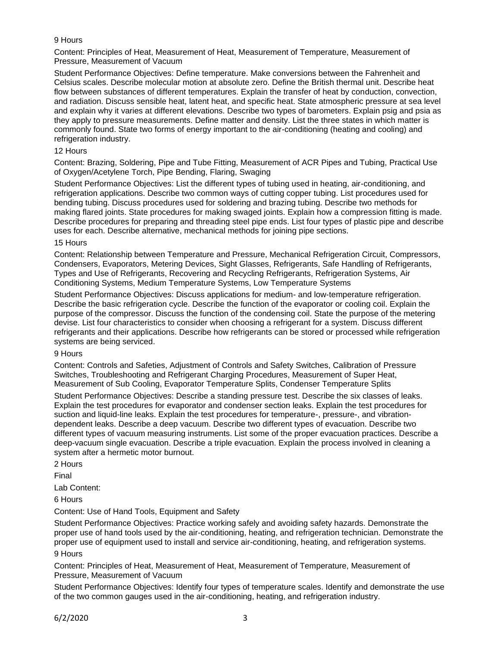### 9 Hours

Content: Principles of Heat, Measurement of Heat, Measurement of Temperature, Measurement of Pressure, Measurement of Vacuum

Student Performance Objectives: Define temperature. Make conversions between the Fahrenheit and Celsius scales. Describe molecular motion at absolute zero. Define the British thermal unit. Describe heat flow between substances of different temperatures. Explain the transfer of heat by conduction, convection, and radiation. Discuss sensible heat, latent heat, and specific heat. State atmospheric pressure at sea level and explain why it varies at different elevations. Describe two types of barometers. Explain psig and psia as they apply to pressure measurements. Define matter and density. List the three states in which matter is commonly found. State two forms of energy important to the air-conditioning (heating and cooling) and refrigeration industry.

#### 12 Hours

Content: Brazing, Soldering, Pipe and Tube Fitting, Measurement of ACR Pipes and Tubing, Practical Use of Oxygen/Acetylene Torch, Pipe Bending, Flaring, Swaging

Student Performance Objectives: List the different types of tubing used in heating, air-conditioning, and refrigeration applications. Describe two common ways of cutting copper tubing. List procedures used for bending tubing. Discuss procedures used for soldering and brazing tubing. Describe two methods for making flared joints. State procedures for making swaged joints. Explain how a compression fitting is made. Describe procedures for preparing and threading steel pipe ends. List four types of plastic pipe and describe uses for each. Describe alternative, mechanical methods for joining pipe sections.

#### 15 Hours

Content: Relationship between Temperature and Pressure, Mechanical Refrigeration Circuit, Compressors, Condensers, Evaporators, Metering Devices, Sight Glasses, Refrigerants, Safe Handling of Refrigerants, Types and Use of Refrigerants, Recovering and Recycling Refrigerants, Refrigeration Systems, Air Conditioning Systems, Medium Temperature Systems, Low Temperature Systems

Student Performance Objectives: Discuss applications for medium- and low-temperature refrigeration. Describe the basic refrigeration cycle. Describe the function of the evaporator or cooling coil. Explain the purpose of the compressor. Discuss the function of the condensing coil. State the purpose of the metering devise. List four characteristics to consider when choosing a refrigerant for a system. Discuss different refrigerants and their applications. Describe how refrigerants can be stored or processed while refrigeration systems are being serviced.

#### 9 Hours

Content: Controls and Safeties, Adjustment of Controls and Safety Switches, Calibration of Pressure Switches, Troubleshooting and Refrigerant Charging Procedures, Measurement of Super Heat, Measurement of Sub Cooling, Evaporator Temperature Splits, Condenser Temperature Splits

Student Performance Objectives: Describe a standing pressure test. Describe the six classes of leaks. Explain the test procedures for evaporator and condenser section leaks. Explain the test procedures for suction and liquid-line leaks. Explain the test procedures for temperature-, pressure-, and vibrationdependent leaks. Describe a deep vacuum. Describe two different types of evacuation. Describe two different types of vacuum measuring instruments. List some of the proper evacuation practices. Describe a deep-vacuum single evacuation. Describe a triple evacuation. Explain the process involved in cleaning a system after a hermetic motor burnout.

2 Hours

Final

Lab Content:

6 Hours

Content: Use of Hand Tools, Equipment and Safety

Student Performance Objectives: Practice working safely and avoiding safety hazards. Demonstrate the proper use of hand tools used by the air-conditioning, heating, and refrigeration technician. Demonstrate the proper use of equipment used to install and service air-conditioning, heating, and refrigeration systems.

### 9 Hours

Content: Principles of Heat, Measurement of Heat, Measurement of Temperature, Measurement of Pressure, Measurement of Vacuum

Student Performance Objectives: Identify four types of temperature scales. Identify and demonstrate the use of the two common gauges used in the air-conditioning, heating, and refrigeration industry.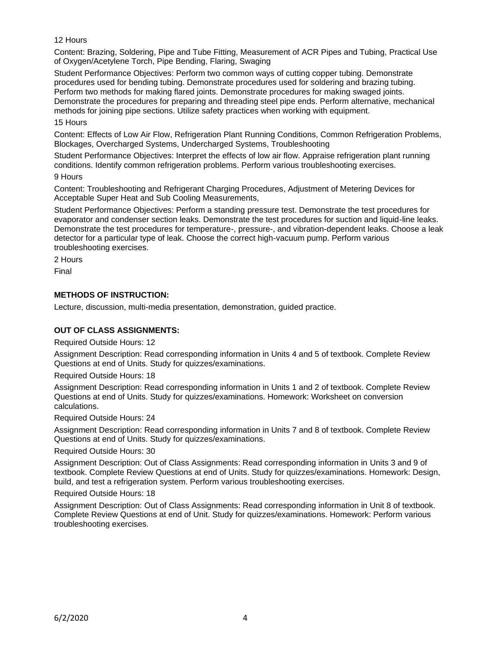### 12 Hours

Content: Brazing, Soldering, Pipe and Tube Fitting, Measurement of ACR Pipes and Tubing, Practical Use of Oxygen/Acetylene Torch, Pipe Bending, Flaring, Swaging

Student Performance Objectives: Perform two common ways of cutting copper tubing. Demonstrate procedures used for bending tubing. Demonstrate procedures used for soldering and brazing tubing. Perform two methods for making flared joints. Demonstrate procedures for making swaged joints. Demonstrate the procedures for preparing and threading steel pipe ends. Perform alternative, mechanical methods for joining pipe sections. Utilize safety practices when working with equipment.

### 15 Hours

Content: Effects of Low Air Flow, Refrigeration Plant Running Conditions, Common Refrigeration Problems, Blockages, Overcharged Systems, Undercharged Systems, Troubleshooting

Student Performance Objectives: Interpret the effects of low air flow. Appraise refrigeration plant running conditions. Identify common refrigeration problems. Perform various troubleshooting exercises.

### 9 Hours

Content: Troubleshooting and Refrigerant Charging Procedures, Adjustment of Metering Devices for Acceptable Super Heat and Sub Cooling Measurements,

Student Performance Objectives: Perform a standing pressure test. Demonstrate the test procedures for evaporator and condenser section leaks. Demonstrate the test procedures for suction and liquid-line leaks. Demonstrate the test procedures for temperature-, pressure-, and vibration-dependent leaks. Choose a leak detector for a particular type of leak. Choose the correct high-vacuum pump. Perform various troubleshooting exercises.

2 Hours

Final

# **METHODS OF INSTRUCTION:**

Lecture, discussion, multi-media presentation, demonstration, guided practice.

### **OUT OF CLASS ASSIGNMENTS:**

Required Outside Hours: 12

Assignment Description: Read corresponding information in Units 4 and 5 of textbook. Complete Review Questions at end of Units. Study for quizzes/examinations.

Required Outside Hours: 18

Assignment Description: Read corresponding information in Units 1 and 2 of textbook. Complete Review Questions at end of Units. Study for quizzes/examinations. Homework: Worksheet on conversion calculations.

Required Outside Hours: 24

Assignment Description: Read corresponding information in Units 7 and 8 of textbook. Complete Review Questions at end of Units. Study for quizzes/examinations.

Required Outside Hours: 30

Assignment Description: Out of Class Assignments: Read corresponding information in Units 3 and 9 of textbook. Complete Review Questions at end of Units. Study for quizzes/examinations. Homework: Design, build, and test a refrigeration system. Perform various troubleshooting exercises.

Required Outside Hours: 18

Assignment Description: Out of Class Assignments: Read corresponding information in Unit 8 of textbook. Complete Review Questions at end of Unit. Study for quizzes/examinations. Homework: Perform various troubleshooting exercises.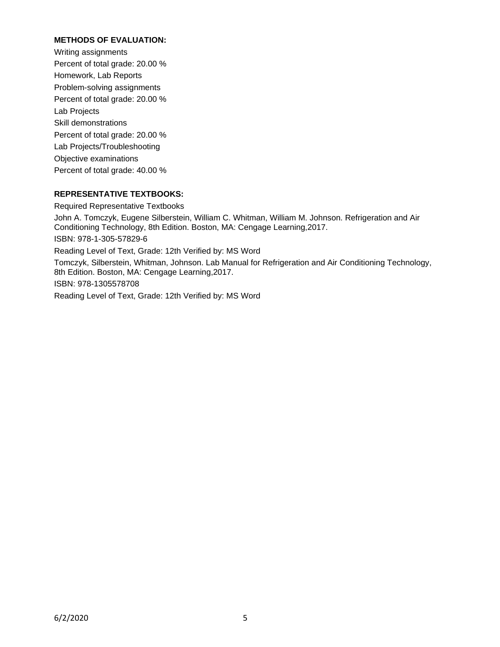# **METHODS OF EVALUATION:**

Writing assignments Percent of total grade: 20.00 % Homework, Lab Reports Problem-solving assignments Percent of total grade: 20.00 % Lab Projects Skill demonstrations Percent of total grade: 20.00 % Lab Projects/Troubleshooting Objective examinations Percent of total grade: 40.00 %

#### **REPRESENTATIVE TEXTBOOKS:**

#### Required Representative Textbooks

John A. Tomczyk, Eugene Silberstein, William C. Whitman, William M. Johnson. Refrigeration and Air Conditioning Technology, 8th Edition. Boston, MA: Cengage Learning,2017. ISBN: 978-1-305-57829-6 Reading Level of Text, Grade: 12th Verified by: MS Word Tomczyk, Silberstein, Whitman, Johnson. Lab Manual for Refrigeration and Air Conditioning Technology, 8th Edition. Boston, MA: Cengage Learning,2017. ISBN: 978-1305578708 Reading Level of Text, Grade: 12th Verified by: MS Word